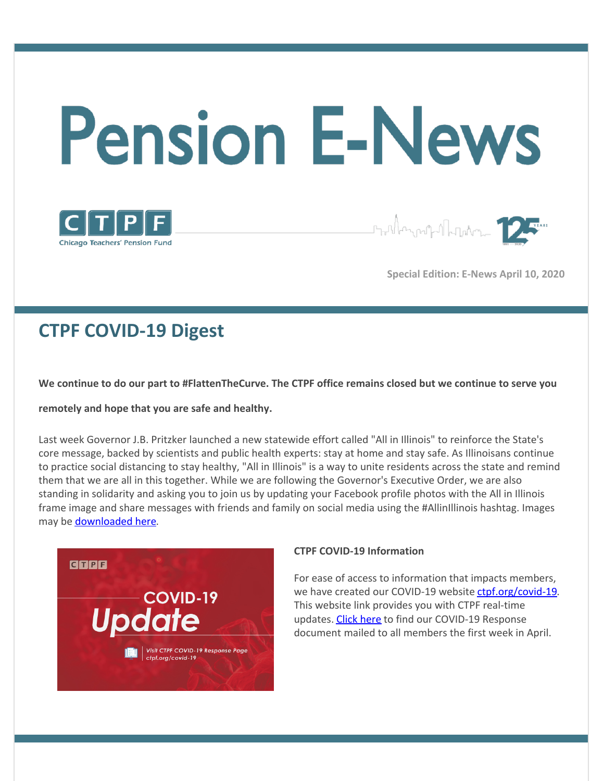# **Pension E-News**



Staller and Marker 12

**Special Edition: E-News April 10, 2020**

## **CTPF COVID-19 Digest**

We continue to do our part to #FlattenTheCurve. The CTPF office remains closed but we continue to serve you

**remotely and hope that you are safe and healthy.**

Last week Governor J.B. Pritzker launched a new statewide effort called "All in Illinois" to reinforce the State's core message, backed by scientists and public health experts: stay at home and stay safe. As Illinoisans continue to practice social distancing to stay healthy, "All in Illinois" is a way to unite residents across the state and remind them that we are all in this together. While we are following the Governor's Executive Order, we are also standing in solidarity and asking you to join us by updating your Facebook profile photos with the All in Illinois frame image and share messages with friends and family on social media using the #AllinIllinois hashtag. Images may be **[downloaded](https://www.enjoyillinois.com/assets/Media-Files/AllInIllinois-Printable-Signs.pdf)** here.



#### **CTPF COVID-19 Information**

For ease of access to information that impacts members, we have created our COVID-19 website [ctpf.org/covid-19](http://ctpf.org/covid-19). This website link provides you with CTPF real-time updates. [Click](https://www.ctpf.org/sites/main/files/file-attachments/covid-19_member_info.pdf) here to find our COVID-19 Response document mailed to all members the first week in April.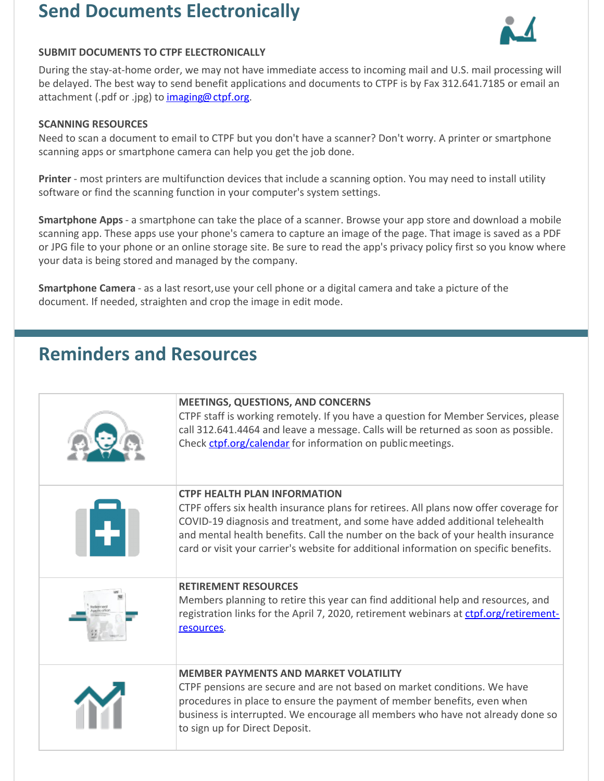## **Send Documents Electronically**



#### **SUBMIT DOCUMENTS TO CTPF ELECTRONICALLY**

During the stay-at-home order, we may not have immediate access to incoming mail and U.S. mail processing will be delayed. The best way to send benefit applications and documents to CTPF is by Fax 312.641.7185 or email an attachment (.pdf or .jpg) to [imaging@ctpf.org](mailto:imaging@ctpf.org).

#### **SCANNING RESOURCES**

Need to scan a document to email to CTPF but you don't have a scanner? Don't worry. A printer or smartphone scanning apps or smartphone camera can help you get the job done.

**Printer** - most printers are multifunction devices that include a scanning option. You may need to install utility software or find the scanning function in your computer's system settings.

**Smartphone Apps**- a smartphone can take the place of a scanner. Browse your app store and download a mobile scanning app. These apps use your phone's camera to capture an image of the page. That image is saved as a PDF or JPG file to your phone or an online storage site. Be sure to read the app's privacy policy first so you know where your data is being stored and managed by the company.

**Smartphone Camera** - as a last resort,use your cell phone or a digital camera and take a picture of the document. If needed, straighten and crop the image in edit mode.

## **Reminders and Resources**

| <b>MEETINGS, QUESTIONS, AND CONCERNS</b><br>CTPF staff is working remotely. If you have a question for Member Services, please<br>call 312.641.4464 and leave a message. Calls will be returned as soon as possible.<br>Check ctpf.org/calendar for information on public meetings.                                                                                                      |
|------------------------------------------------------------------------------------------------------------------------------------------------------------------------------------------------------------------------------------------------------------------------------------------------------------------------------------------------------------------------------------------|
| <b>CTPF HEALTH PLAN INFORMATION</b><br>CTPF offers six health insurance plans for retirees. All plans now offer coverage for<br>COVID-19 diagnosis and treatment, and some have added additional telehealth<br>and mental health benefits. Call the number on the back of your health insurance<br>card or visit your carrier's website for additional information on specific benefits. |
| <b>RETIREMENT RESOURCES</b><br>Members planning to retire this year can find additional help and resources, and<br>registration links for the April 7, 2020, retirement webinars at ctpf.org/retirement-<br>resources.                                                                                                                                                                   |
| <b>MEMBER PAYMENTS AND MARKET VOLATILITY</b><br>CTPF pensions are secure and are not based on market conditions. We have<br>procedures in place to ensure the payment of member benefits, even when<br>business is interrupted. We encourage all members who have not already done so<br>to sign up for Direct Deposit.                                                                  |